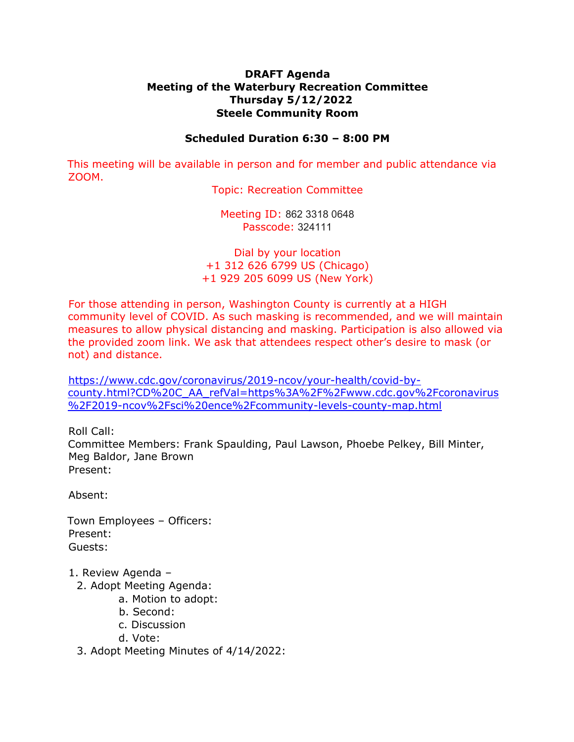## **DRAFT Agenda Meeting of the Waterbury Recreation Committee Thursday 5/12/2022 Steele Community Room**

## **Scheduled Duration 6:30 – 8:00 PM**

This meeting will be available in person and for member and public attendance via ZOOM.

Topic: Recreation Committee

Meeting ID: 862 3318 0648 Passcode: 324111

Dial by your location +1 312 626 6799 US (Chicago) +1 929 205 6099 US (New York)

For those attending in person, Washington County is currently at a HIGH community level of COVID. As such masking is recommended, and we will maintain measures to allow physical distancing and masking. Participation is also allowed via the provided zoom link. We ask that attendees respect other's desire to mask (or not) and distance.

[https://www.cdc.gov/coronavirus/2019-ncov/your-health/covid-by](https://www.cdc.gov/coronavirus/2019-ncov/your-health/covid-by-county.html?CD%20C_AA_refVal=https%3A%2F%2Fwww.cdc.gov%2Fcoronavirus%2F2019-ncov%2Fsci%20ence%2Fcommunity-levels-county-map.html)[county.html?CD%20C\\_AA\\_refVal=https%3A%2F%2Fwww.cdc.gov%2Fcoronavirus](https://www.cdc.gov/coronavirus/2019-ncov/your-health/covid-by-county.html?CD%20C_AA_refVal=https%3A%2F%2Fwww.cdc.gov%2Fcoronavirus%2F2019-ncov%2Fsci%20ence%2Fcommunity-levels-county-map.html) [%2F2019-ncov%2Fsci%20ence%2Fcommunity-levels-county-map.html](https://www.cdc.gov/coronavirus/2019-ncov/your-health/covid-by-county.html?CD%20C_AA_refVal=https%3A%2F%2Fwww.cdc.gov%2Fcoronavirus%2F2019-ncov%2Fsci%20ence%2Fcommunity-levels-county-map.html)

Roll Call:

Committee Members: Frank Spaulding, Paul Lawson, Phoebe Pelkey, Bill Minter, Meg Baldor, Jane Brown Present:

Absent:

Town Employees – Officers: Present: Guests:

- 1. Review Agenda
	- 2. Adopt Meeting Agenda:
		- a. Motion to adopt:
			- b. Second:
			- c. Discussion
			- d. Vote:
	- 3. Adopt Meeting Minutes of 4/14/2022: